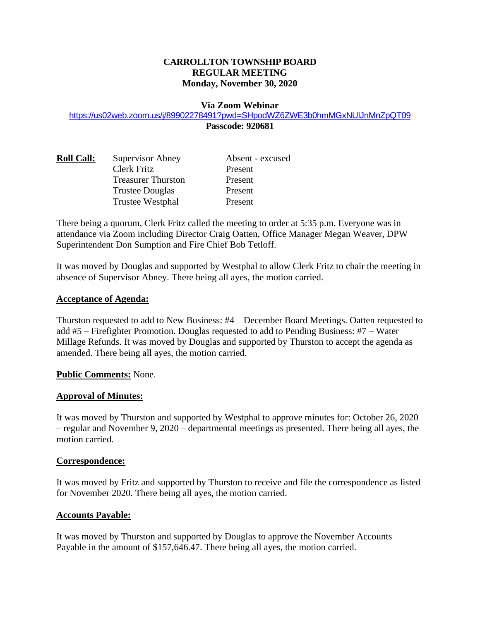# **CARROLLTON TOWNSHIP BOARD REGULAR MEETING Monday, November 30, 2020**

#### **Via Zoom Webinar**

<https://us02web.zoom.us/j/89902278491?pwd=SHpodWZ6ZWE3b0hmMGxNUlJnMnZpQT09> **Passcode: 920681**

| <b>Roll Call:</b> | <b>Supervisor Abney</b>   | Absent - excused |
|-------------------|---------------------------|------------------|
|                   | Clerk Fritz               | Present          |
|                   | <b>Treasurer Thurston</b> | Present          |
|                   | <b>Trustee Douglas</b>    | Present          |
|                   | Trustee Westphal          | Present          |

There being a quorum, Clerk Fritz called the meeting to order at 5:35 p.m. Everyone was in attendance via Zoom including Director Craig Oatten, Office Manager Megan Weaver, DPW Superintendent Don Sumption and Fire Chief Bob Tetloff.

It was moved by Douglas and supported by Westphal to allow Clerk Fritz to chair the meeting in absence of Supervisor Abney. There being all ayes, the motion carried.

#### **Acceptance of Agenda:**

Thurston requested to add to New Business: #4 – December Board Meetings. Oatten requested to add #5 – Firefighter Promotion. Douglas requested to add to Pending Business: #7 – Water Millage Refunds. It was moved by Douglas and supported by Thurston to accept the agenda as amended. There being all ayes, the motion carried.

### **Public Comments:** None.

### **Approval of Minutes:**

It was moved by Thurston and supported by Westphal to approve minutes for: October 26, 2020 – regular and November 9, 2020 – departmental meetings as presented. There being all ayes, the motion carried.

### **Correspondence:**

It was moved by Fritz and supported by Thurston to receive and file the correspondence as listed for November 2020. There being all ayes, the motion carried.

### **Accounts Payable:**

It was moved by Thurston and supported by Douglas to approve the November Accounts Payable in the amount of \$157,646.47. There being all ayes, the motion carried.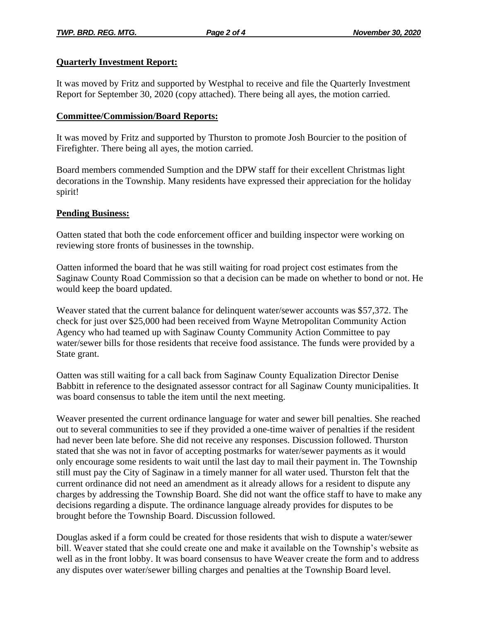## **Quarterly Investment Report:**

It was moved by Fritz and supported by Westphal to receive and file the Quarterly Investment Report for September 30, 2020 (copy attached). There being all ayes, the motion carried.

## **Committee/Commission/Board Reports:**

It was moved by Fritz and supported by Thurston to promote Josh Bourcier to the position of Firefighter. There being all ayes, the motion carried.

Board members commended Sumption and the DPW staff for their excellent Christmas light decorations in the Township. Many residents have expressed their appreciation for the holiday spirit!

## **Pending Business:**

Oatten stated that both the code enforcement officer and building inspector were working on reviewing store fronts of businesses in the township.

Oatten informed the board that he was still waiting for road project cost estimates from the Saginaw County Road Commission so that a decision can be made on whether to bond or not. He would keep the board updated.

Weaver stated that the current balance for delinquent water/sewer accounts was \$57,372. The check for just over \$25,000 had been received from Wayne Metropolitan Community Action Agency who had teamed up with Saginaw County Community Action Committee to pay water/sewer bills for those residents that receive food assistance. The funds were provided by a State grant.

Oatten was still waiting for a call back from Saginaw County Equalization Director Denise Babbitt in reference to the designated assessor contract for all Saginaw County municipalities. It was board consensus to table the item until the next meeting.

Weaver presented the current ordinance language for water and sewer bill penalties. She reached out to several communities to see if they provided a one-time waiver of penalties if the resident had never been late before. She did not receive any responses. Discussion followed. Thurston stated that she was not in favor of accepting postmarks for water/sewer payments as it would only encourage some residents to wait until the last day to mail their payment in. The Township still must pay the City of Saginaw in a timely manner for all water used. Thurston felt that the current ordinance did not need an amendment as it already allows for a resident to dispute any charges by addressing the Township Board. She did not want the office staff to have to make any decisions regarding a dispute. The ordinance language already provides for disputes to be brought before the Township Board. Discussion followed.

Douglas asked if a form could be created for those residents that wish to dispute a water/sewer bill. Weaver stated that she could create one and make it available on the Township's website as well as in the front lobby. It was board consensus to have Weaver create the form and to address any disputes over water/sewer billing charges and penalties at the Township Board level.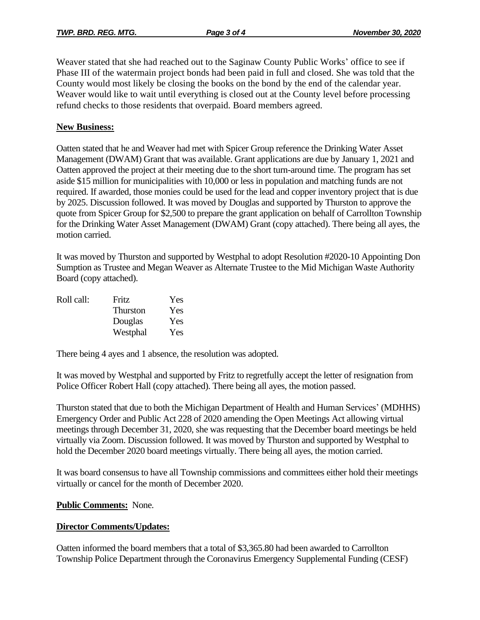Weaver stated that she had reached out to the Saginaw County Public Works' office to see if Phase III of the watermain project bonds had been paid in full and closed. She was told that the County would most likely be closing the books on the bond by the end of the calendar year. Weaver would like to wait until everything is closed out at the County level before processing refund checks to those residents that overpaid. Board members agreed.

## **New Business:**

Oatten stated that he and Weaver had met with Spicer Group reference the Drinking Water Asset Management (DWAM) Grant that was available. Grant applications are due by January 1, 2021 and Oatten approved the project at their meeting due to the short turn-around time. The program has set aside \$15 million for municipalities with 10,000 or less in population and matching funds are not required. If awarded, those monies could be used for the lead and copper inventory project that is due by 2025. Discussion followed. It was moved by Douglas and supported by Thurston to approve the quote from Spicer Group for \$2,500 to prepare the grant application on behalf of Carrollton Township for the Drinking Water Asset Management (DWAM) Grant (copy attached). There being all ayes, the motion carried.

It was moved by Thurston and supported by Westphal to adopt Resolution #2020-10 Appointing Don Sumption as Trustee and Megan Weaver as Alternate Trustee to the Mid Michigan Waste Authority Board (copy attached).

| Roll call: | Fritz           | Yes |
|------------|-----------------|-----|
|            | <b>Thurston</b> | Yes |
|            | Douglas         | Yes |
|            | Westphal        | Yes |

There being 4 ayes and 1 absence, the resolution was adopted.

It was moved by Westphal and supported by Fritz to regretfully accept the letter of resignation from Police Officer Robert Hall (copy attached). There being all ayes, the motion passed.

Thurston stated that due to both the Michigan Department of Health and Human Services' (MDHHS) Emergency Order and Public Act 228 of 2020 amending the Open Meetings Act allowing virtual meetings through December 31, 2020, she was requesting that the December board meetings be held virtually via Zoom. Discussion followed. It was moved by Thurston and supported by Westphal to hold the December 2020 board meetings virtually. There being all ayes, the motion carried.

It was board consensus to have all Township commissions and committees either hold their meetings virtually or cancel for the month of December 2020.

### **Public Comments:** None.

### **Director Comments/Updates:**

Oatten informed the board members that a total of \$3,365.80 had been awarded to Carrollton Township Police Department through the Coronavirus Emergency Supplemental Funding (CESF)